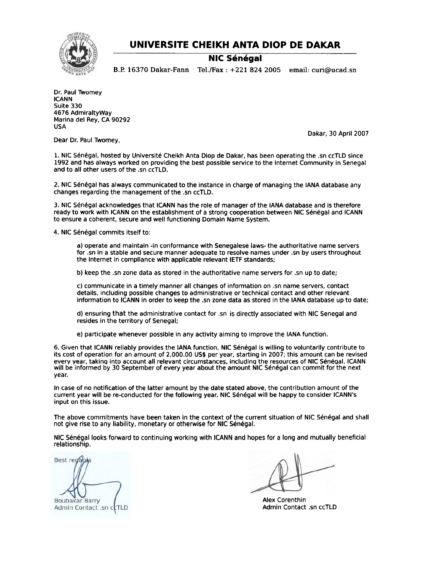

## UNIVERSITE CHEIKH ANTA DIOP DE DAKAR

## **NIC Sénégal**

B.P. 16370 Dakar-Fann Te1./Fax: +221 8242005 email: curi@ucad.sn

Dr. Paul Twomey ICANN Suite 330 4676 AdmiraltyWay Marina del Rey, CA 90292 USA

Dakar, 30 April 2007

Dear Dr. Paul Twomey,

1. NIC Sénégal, hosted by Université Cheikh Anta Diop de Dakar, has been operating the .sn ccTLD since 1992 and has always worked on providing the best possible service to the Internet Community in Senegal and to all other users of the .sn ccTlD.

2. NIC Sénégal has always communicated to the instance in charge of managing the IANA database any changes regarding the management of the .sn ccTlD.

3. NIC Senegal acknowledges that ICANN has the role of manager of the IANA database and is therefore ready to work with ICANN on the establishment of a strong cooperation between NIC Sénégal and ICANN to ensure a coherent, secure and well functioning Domain Name System.

4. NIC Sénégal commits itself to:

a) operate and maintain -in conformance with Senegalese laws- the authoritative name servers for .sn in a stable and secure manner adequate to resolve names under .sn by users throughout the Internet in compliance with applicable relevant IETF standards;

b) keep the .sn zone data as stored in the authoritative name servers for .sn up to date;

c) communicate in a timely manner all changes of information on .sn name servers. contact details. including possible changes to administrative or technical contact and other relevant information to ICANN in order to keep the .sn zone data as stored in the IANA database up to date;

d) ensuring that the administrative contact for .sn Is directly associated with NIC Senegal and resides in the territory of Senegal;

e) participate whenever possible in any activity aiming to improve the IANA function.

6. Given that ICANN reliably provides the IANA function, NIC Sénégal is willing to voluntarily contribute to its cost of operation for an amount of 2,000.00 US\$ per year, starting in 2007; this amount can be revised every year, taking into account all relevant circumstances, including the resources of NIC Sénégal. ICANN will be informed by 30 September of every year about the amount NIC Sénégal can commit for the next year.

In case of no notification of the latter amount by the date stated above. the contribution amount of the current year will be re-conducted for the following year. NIC Senegal will be happy to consider ICANN's input on this issue.

The above commitments have been taken in the context of the current situation of NIC Sénégal and shall not give rise to any liability, monetary or otherwise for NIC Senegal.

NIC Senegal looks forward to continuing working with ICANN and hopes for a long and mutually beneficial relationship.

Best regards Boubakar Barry Admin Contact .sn ccTLD

Alex Corenthin Admin Contact .sn ccTLO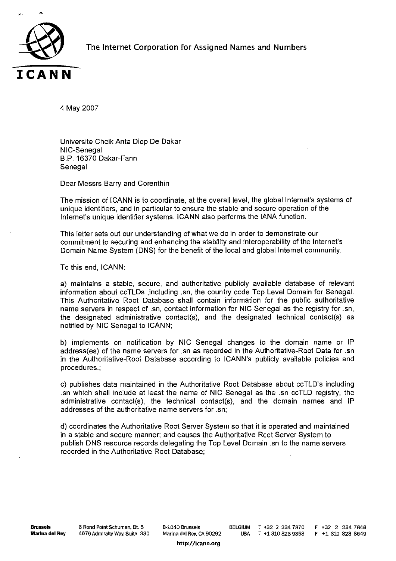

The Internet Corporation for Assigned Names and Numbers

Universite CheikAnta Diop De Dakar NIC-Senegal <mark>Universite Cheik Anta D</mark><br>NIC-Senegal<br>B.P. 16370 Dakar-Fanr B.P. 163<br>Senegal Senegal<br>Dear Messrs Barry and Corenthin

The mission of ICANN is to coordinate, at the overall level, the global Internet's systems of Dear Messrs Barry and Corenthin<br>The mission of ICANN is to coordinate, at the overall level, the global Internet's sys<br>unique identifiers, and in particular to ensure the stable and secure operation of the Ine mission of ICANN is to coordinate, at the overall level, the global interne<br>unique identifiers, and in particular to ensure the stable and secure operatior<br>nternet's unique identifier systems. ICANN also performs the I Internet's unique identifier systems. ICANN also performs the IANA function.<br>This letter sets out our understanding of what we do in order to demonstrate our

unique identifiers, and in particular to ensure the stable and secure operation of the<br>Internet's unique identifier systems. ICANN also performs the IANA function.<br>This letter sets out our understanding of what we do in or rnis letter sets out our understanding or what we do in order to demonstrate our<br>commitment to securing and enhancing the stability and interoperability of the Internet'<br>Domain Name System (DNS) for the benefit of the loca Domain Name System (DNS) for the benefit of the local and global Internet community.<br>To this end, ICANN:

a) maintains a stable, secure, and authoritative publicly available database of relevant a) maintains a stable, secure, and authoritative publicly available database of relevan<br>information about ccTLDs ,including .sn, the country code Top Level Domain for Senegal To this end, ICANN:<br>a) maintains a stable, secure, and authoritative publicly available database of relevant<br>information about ccTLDs ,including .sn, the country code Top Level Domain for Senegal.<br>This Authoritative Root D information about ccTLDs ,including .sn, the country code Top Level Domain for Senegal.<br>This Authoritative Root Database shall contain information for the public authoritative<br>name servers in respect of .sn, contact inform a) maintains a stable, secure, and authoritative publicly available database of relevan<br>information about ccTLDs ,including .sn, the country code Top Level Domain for Senegal<br>This Authoritative Root Database shall contain name servers in respect of .sn, contact information for NIC Senegal as the registry for .sn, the designated administrative contact(s), and the designated technical contact(s) as notified by NIC Senegal to ICANN; **CANN**<br>
CONVERGE THEST Antis Disp De Dakar<br>
NIC-Senegal principals and contribution<br>
Deal of Senegal principals and contribution<br>
The mession of COANN at boosted contribution<br>
Unrained contribution and in periodizating at

the designated administrative contact(s), and the designated technical contact(s) as<br>notified by NIC Senegal to ICANN;<br>o) implements on notification by NIC Senegal changes to the domain name or IP<br>address(es) of the name s in the Authoritative-Root Database according to ICANN's publicly available policies and<br>in the Authoritative-Root Database according to ICANN's publicly available policies and<br>in the Authoritative-Root Database according t address(es) of the hame servers for .sn as recorded in the Addroniative-Root Data for .sn<br>in the Authoritative-Root Database according to ICANN's publicly available policies and<br>procedures.;<br>c) publishes data maintained in address(es) of the name servers for .sn as recorded in the Authoritative-Root Data for .sn<br>n the Authoritative-Root Database according to ICANN's publicly available policies and<br>procedures.;<br>c) publishes data maintained in

n the Authoritative-Root Database according to ICANN's publicly available policies and<br>procedures.;<br>c) publishes data maintained in the Authoritative Root Database about ccTLD's including<br>sn which shall include at least th and which shall include at least the name of NIC Senegal as the .sn ccTLD registry, the administrative contact(s), the technical contact(s), and the domain names and laddresses of the authoritative name servers for .sn;<br>d)

in a stable and secure manner; and secure manner; and secure manner; and secure manner; and causes the Authoritative Root Server System so that it is operated and maint in a stable and secure manner; and causes the Authori addresses of the authoritative name servers for .sn;<br>d) coordinates the Authoritative Root Server System so that it is operated and maintained<br>in a stable and secure manner; and causes the Authoritative Root Server System recorded in the Authoritative Root Database;